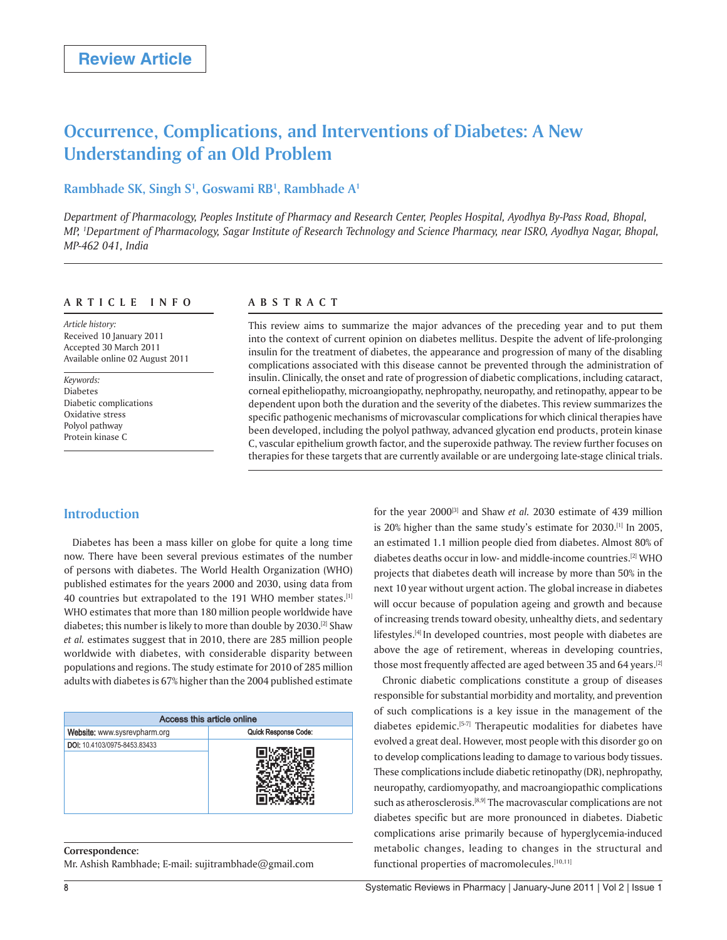# **Occurrence, Complications, and Interventions of Diabetes: A New Understanding of an Old Problem**

# **Rambhade SK, Singh S1 , Goswami RB1 , Rambhade A1**

*Department of Pharmacology, Peoples Institute of Pharmacy and Research Center, Peoples Hospital, Ayodhya By-Pass Road, Bhopal, MP, 1 Department of Pharmacology, Sagar Institute of Research Technology and Science Pharmacy, near ISRO, Ayodhya Nagar, Bhopal, MP-462 041, India*

## **ARTICLE INFO**

*Article history:*  Received 10 January 2011 Accepted 30 March 2011 Available online 02 August 2011

*Keywords:*  Diabetes Diabetic complications Oxidative stress Polyol pathway Protein kinase C

# **ABSTRACT**

This review aims to summarize the major advances of the preceding year and to put them into the context of current opinion on diabetes mellitus. Despite the advent of life-prolonging insulin for the treatment of diabetes, the appearance and progression of many of the disabling complications associated with this disease cannot be prevented through the administration of insulin. Clinically, the onset and rate of progression of diabetic complications, including cataract, corneal epitheliopathy, microangiopathy, nephropathy, neuropathy, and retinopathy, appear to be dependent upon both the duration and the severity of the diabetes. This review summarizes the specific pathogenic mechanisms of microvascular complications for which clinical therapies have been developed, including the polyol pathway, advanced glycation end products, protein kinase C, vascular epithelium growth factor, and the superoxide pathway. The review further focuses on therapies for these targets that are currently available or are undergoing late-stage clinical trials.

# **Introduction**

Diabetes has been a mass killer on globe for quite a long time now. There have been several previous estimates of the number of persons with diabetes. The World Health Organization (WHO) published estimates for the years 2000 and 2030, using data from 40 countries but extrapolated to the 191 WHO member states.[1] WHO estimates that more than 180 million people worldwide have diabetes; this number is likely to more than double by 2030.[2] Shaw *et al.* estimates suggest that in 2010, there are 285 million people worldwide with diabetes, with considerable disparity between populations and regions. The study estimate for 2010 of 285 million adults with diabetes is 67% higher than the 2004 published estimate

| Access this article online   |                      |
|------------------------------|----------------------|
| Website: www.sysrevpharm.org | Quick Response Code: |
| DOI: 10.4103/0975-8453.83433 |                      |

#### **Correspondence:**

Mr. Ashish Rambhade; E-mail: sujitrambhade@gmail.com

for the year 2000<sup>[3]</sup> and Shaw *et al.* 2030 estimate of 439 million is 20% higher than the same study's estimate for 2030.<sup>[1]</sup> In 2005, an estimated 1.1 million people died from diabetes. Almost 80% of diabetes deaths occur in low- and middle-income countries.[2] WHO projects that diabetes death will increase by more than 50% in the next 10 year without urgent action. The global increase in diabetes will occur because of population ageing and growth and because of increasing trends toward obesity, unhealthy diets, and sedentary lifestyles.<sup>[4]</sup> In developed countries, most people with diabetes are above the age of retirement, whereas in developing countries, those most frequently affected are aged between 35 and 64 years.<sup>[2]</sup>

Chronic diabetic complications constitute a group of diseases responsible for substantial morbidity and mortality, and prevention of such complications is a key issue in the management of the diabetes epidemic.[5-7] Therapeutic modalities for diabetes have evolved a great deal. However, most people with this disorder go on to develop complications leading to damage to various body tissues. These complications include diabetic retinopathy (DR), nephropathy, neuropathy, cardiomyopathy, and macroangiopathic complications such as atherosclerosis.<sup>[8,9]</sup> The macrovascular complications are not diabetes specific but are more pronounced in diabetes. Diabetic complications arise primarily because of hyperglycemia-induced metabolic changes, leading to changes in the structural and functional properties of macromolecules.<sup>[10,11]</sup>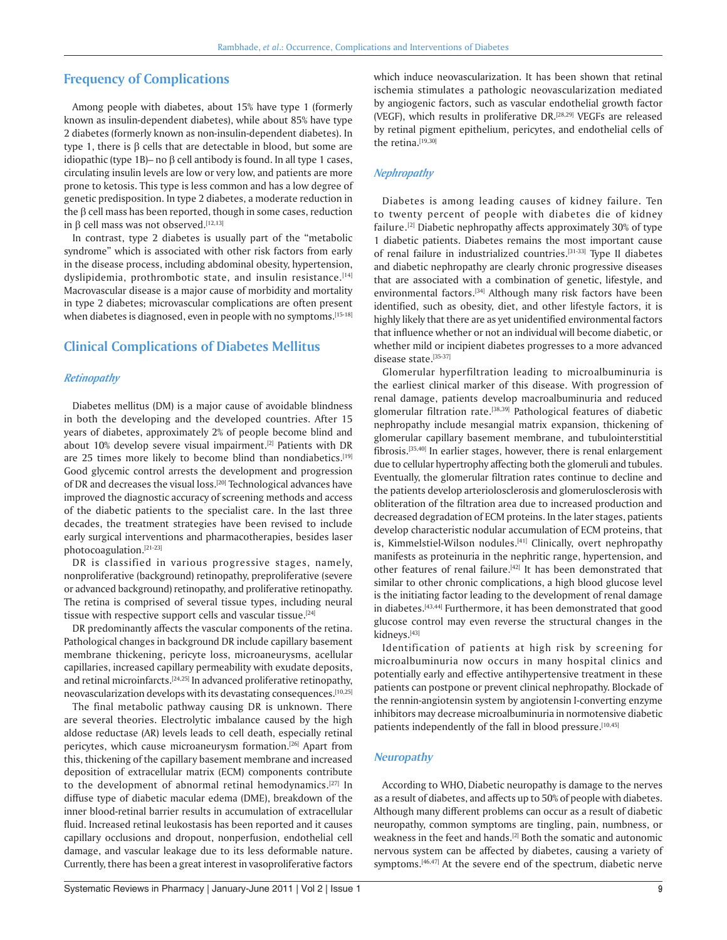# **Frequency of Complications**

Among people with diabetes, about 15% have type 1 (formerly known as insulin-dependent diabetes), while about 85% have type 2 diabetes (formerly known as non-insulin-dependent diabetes). In type 1, there is  $\beta$  cells that are detectable in blood, but some are idiopathic (type 1B)– no  $\beta$  cell antibody is found. In all type 1 cases, circulating insulin levels are low or very low, and patients are more prone to ketosis. This type is less common and has a low degree of genetic predisposition. In type 2 diabetes, a moderate reduction in the  $\beta$  cell mass has been reported, though in some cases, reduction in  $\beta$  cell mass was not observed.<sup>[12,13]</sup>

In contrast, type 2 diabetes is usually part of the "metabolic syndrome" which is associated with other risk factors from early in the disease process, including abdominal obesity, hypertension, dyslipidemia, prothrombotic state, and insulin resistance.<sup>[14]</sup> Macrovascular disease is a major cause of morbidity and mortality in type 2 diabetes; microvascular complications are often present when diabetes is diagnosed, even in people with no symptoms.<sup>[15-18]</sup>

# **Clinical Complications of Diabetes Mellitus**

#### *Retinopathy*

Diabetes mellitus (DM) is a major cause of avoidable blindness in both the developing and the developed countries. After 15 years of diabetes, approximately 2% of people become blind and about 10% develop severe visual impairment.<sup>[2]</sup> Patients with DR are 25 times more likely to become blind than nondiabetics.<sup>[19]</sup> Good glycemic control arrests the development and progression of DR and decreases the visual loss.<sup>[20]</sup> Technological advances have improved the diagnostic accuracy of screening methods and access of the diabetic patients to the specialist care. In the last three decades, the treatment strategies have been revised to include early surgical interventions and pharmacotherapies, besides laser photocoagulation.[21-23]

DR is classified in various progressive stages, namely, nonproliferative (background) retinopathy, preproliferative (severe or advanced background) retinopathy, and proliferative retinopathy. The retina is comprised of several tissue types, including neural tissue with respective support cells and vascular tissue.<sup>[24]</sup>

DR predominantly affects the vascular components of the retina. Pathological changes in background DR include capillary basement membrane thickening, pericyte loss, microaneurysms, acellular capillaries, increased capillary permeability with exudate deposits, and retinal microinfarcts.<sup>[24,25]</sup> In advanced proliferative retinopathy, neovascularization develops with its devastating consequences.[10,25]

The final metabolic pathway causing DR is unknown. There are several theories. Electrolytic imbalance caused by the high aldose reductase (AR) levels leads to cell death, especially retinal pericytes, which cause microaneurysm formation.[26] Apart from this, thickening of the capillary basement membrane and increased deposition of extracellular matrix (ECM) components contribute to the development of abnormal retinal hemodynamics.[27] In diffuse type of diabetic macular edema (DME), breakdown of the inner blood-retinal barrier results in accumulation of extracellular fluid. Increased retinal leukostasis has been reported and it causes capillary occlusions and dropout, nonperfusion, endothelial cell damage, and vascular leakage due to its less deformable nature. Currently, there has been a great interest in vasoproliferative factors which induce neovascularization. It has been shown that retinal ischemia stimulates a pathologic neovascularization mediated by angiogenic factors, such as vascular endothelial growth factor (VEGF), which results in proliferative DR.[28,29] VEGFs are released by retinal pigment epithelium, pericytes, and endothelial cells of the retina.[19,30]

#### *Nephropathy*

Diabetes is among leading causes of kidney failure. Ten to twenty percent of people with diabetes die of kidney failure.<sup>[2]</sup> Diabetic nephropathy affects approximately 30% of type 1 diabetic patients. Diabetes remains the most important cause of renal failure in industrialized countries.[31-33] Type II diabetes and diabetic nephropathy are clearly chronic progressive diseases that are associated with a combination of genetic, lifestyle, and environmental factors.<sup>[34]</sup> Although many risk factors have been identified, such as obesity, diet, and other lifestyle factors, it is highly likely that there are as yet unidentified environmental factors that influence whether or not an individual will become diabetic, or whether mild or incipient diabetes progresses to a more advanced disease state.[35-37]

Glomerular hyperfiltration leading to microalbuminuria is the earliest clinical marker of this disease. With progression of renal damage, patients develop macroalbuminuria and reduced glomerular filtration rate.<sup>[38,39]</sup> Pathological features of diabetic nephropathy include mesangial matrix expansion, thickening of glomerular capillary basement membrane, and tubulointerstitial fibrosis.[35,40] In earlier stages, however, there is renal enlargement due to cellular hypertrophy affecting both the glomeruli and tubules. Eventually, the glomerular filtration rates continue to decline and the patients develop arteriolosclerosis and glomerulosclerosis with obliteration of the filtration area due to increased production and decreased degradation of ECM proteins. In the later stages, patients develop characteristic nodular accumulation of ECM proteins, that is, Kimmelstiel-Wilson nodules.<sup>[41]</sup> Clinically, overt nephropathy manifests as proteinuria in the nephritic range, hypertension, and other features of renal failure.<sup>[42]</sup> It has been demonstrated that similar to other chronic complications, a high blood glucose level is the initiating factor leading to the development of renal damage in diabetes.[43,44] Furthermore, it has been demonstrated that good glucose control may even reverse the structural changes in the kidneys.[43]

Identification of patients at high risk by screening for microalbuminuria now occurs in many hospital clinics and potentially early and effective antihypertensive treatment in these patients can postpone or prevent clinical nephropathy. Blockade of the rennin-angiotensin system by angiotensin I-converting enzyme inhibitors may decrease microalbuminuria in normotensive diabetic patients independently of the fall in blood pressure.[10,45]

#### **Neuropathy**

According to WHO, Diabetic neuropathy is damage to the nerves as a result of diabetes, and affects up to 50% of people with diabetes. Although many different problems can occur as a result of diabetic neuropathy, common symptoms are tingling, pain, numbness, or weakness in the feet and hands.<sup>[2]</sup> Both the somatic and autonomic nervous system can be affected by diabetes, causing a variety of symptoms.<sup>[46,47]</sup> At the severe end of the spectrum, diabetic nerve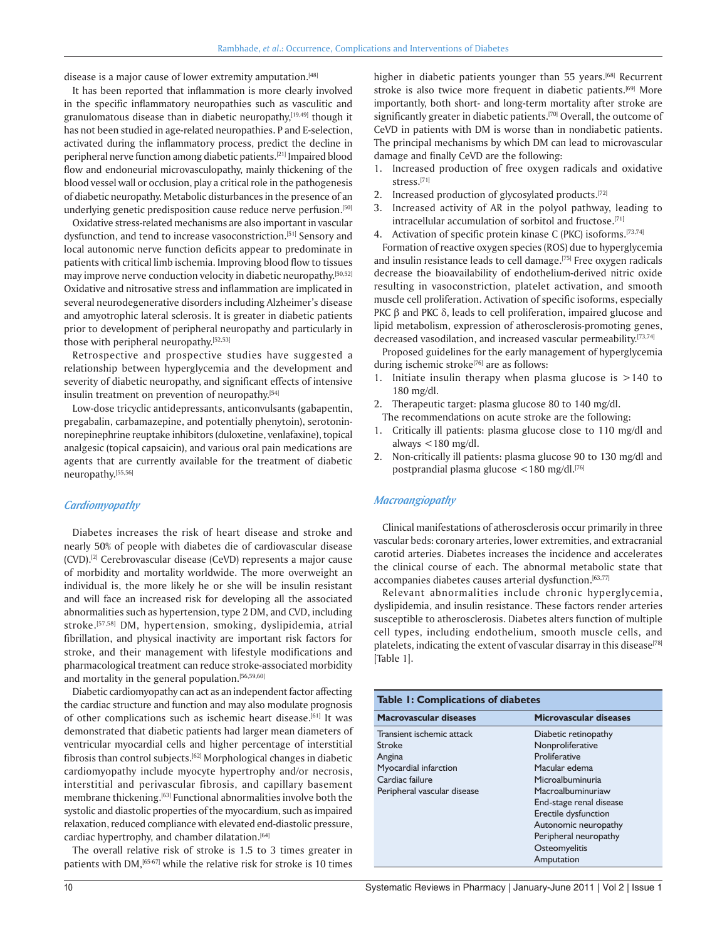disease is a major cause of lower extremity amputation.<sup>[48]</sup>

It has been reported that inflammation is more clearly involved in the specific inflammatory neuropathies such as vasculitic and granulomatous disease than in diabetic neuropathy,<sup>[19,49]</sup> though it has not been studied in age-related neuropathies. P and E-selection, activated during the inflammatory process, predict the decline in peripheral nerve function among diabetic patients.[21] Impaired blood flow and endoneurial microvasculopathy, mainly thickening of the blood vessel wall or occlusion, play a critical role in the pathogenesis of diabetic neuropathy. Metabolic disturbances in the presence of an underlying genetic predisposition cause reduce nerve perfusion.<sup>[50]</sup>

Oxidative stress-related mechanisms are also important in vascular dysfunction, and tend to increase vasoconstriction.<sup>[51]</sup> Sensory and local autonomic nerve function deficits appear to predominate in patients with critical limb ischemia. Improving blood flow to tissues may improve nerve conduction velocity in diabetic neuropathy.<sup>[50,52]</sup> Oxidative and nitrosative stress and inflammation are implicated in several neurodegenerative disorders including Alzheimer's disease and amyotrophic lateral sclerosis. It is greater in diabetic patients prior to development of peripheral neuropathy and particularly in those with peripheral neuropathy.[52,53]

Retrospective and prospective studies have suggested a relationship between hyperglycemia and the development and severity of diabetic neuropathy, and significant effects of intensive insulin treatment on prevention of neuropathy.<sup>[54]</sup>

Low-dose tricyclic antidepressants, anticonvulsants (gabapentin, pregabalin, carbamazepine, and potentially phenytoin), serotoninnorepinephrine reuptake inhibitors (duloxetine, venlafaxine), topical analgesic (topical capsaicin), and various oral pain medications are agents that are currently available for the treatment of diabetic neuropathy.[55,56]

#### *Cardiomyopathy*

Diabetes increases the risk of heart disease and stroke and nearly 50% of people with diabetes die of cardiovascular disease (CVD).[2] Cerebrovascular disease (CeVD) represents a major cause of morbidity and mortality worldwide. The more overweight an individual is, the more likely he or she will be insulin resistant and will face an increased risk for developing all the associated abnormalities such as hypertension, type 2 DM, and CVD, including stroke.[57,58] DM, hypertension, smoking, dyslipidemia, atrial fibrillation, and physical inactivity are important risk factors for stroke, and their management with lifestyle modifications and pharmacological treatment can reduce stroke-associated morbidity and mortality in the general population.[56,59,60]

Diabetic cardiomyopathy can act as an independent factor affecting the cardiac structure and function and may also modulate prognosis of other complications such as ischemic heart disease.<sup>[61]</sup> It was demonstrated that diabetic patients had larger mean diameters of ventricular myocardial cells and higher percentage of interstitial fibrosis than control subjects.[62] Morphological changes in diabetic cardiomyopathy include myocyte hypertrophy and/or necrosis, interstitial and perivascular fibrosis, and capillary basement membrane thickening.[63] Functional abnormalities involve both the systolic and diastolic properties of the myocardium, such as impaired relaxation, reduced compliance with elevated end-diastolic pressure, cardiac hypertrophy, and chamber dilatation.<sup>[64]</sup>

The overall relative risk of stroke is 1.5 to 3 times greater in patients with DM,[65-67] while the relative risk for stroke is 10 times higher in diabetic patients younger than 55 years.<sup>[68]</sup> Recurrent stroke is also twice more frequent in diabetic patients.<sup>[69]</sup> More importantly, both short- and long-term mortality after stroke are significantly greater in diabetic patients.<sup>[70]</sup> Overall, the outcome of CeVD in patients with DM is worse than in nondiabetic patients. The principal mechanisms by which DM can lead to microvascular damage and finally CeVD are the following:

- 1. Increased production of free oxygen radicals and oxidative stress.[71]
- 2. Increased production of glycosylated products.<sup>[72]</sup>
- 3. Increased activity of AR in the polyol pathway, leading to intracellular accumulation of sorbitol and fructose.<sup>[71]</sup>
- 4. Activation of specific protein kinase C (PKC) isoforms.<sup>[73,74]</sup>

Formation of reactive oxygen species (ROS) due to hyperglycemia and insulin resistance leads to cell damage.[75] Free oxygen radicals decrease the bioavailability of endothelium-derived nitric oxide resulting in vasoconstriction, platelet activation, and smooth muscle cell proliferation. Activation of specific isoforms, especially PKC  $\beta$  and PKC  $\delta$ , leads to cell proliferation, impaired glucose and lipid metabolism, expression of atherosclerosis-promoting genes, decreased vasodilation, and increased vascular permeability.[73,74]

Proposed guidelines for the early management of hyperglycemia during ischemic stroke<sup>[76]</sup> are as follows:

- 1. Initiate insulin therapy when plasma glucose is >140 to 180 mg/dl.
- 2. Therapeutic target: plasma glucose 80 to 140 mg/dl.
- The recommendations on acute stroke are the following:
- 1. Critically ill patients: plasma glucose close to 110 mg/dl and always <180 mg/dl.
- 2. Non-critically ill patients: plasma glucose 90 to 130 mg/dl and postprandial plasma glucose <180 mg/dl.[76]

#### *Macroangiopathy*

Clinical manifestations of atherosclerosis occur primarily in three vascular beds: coronary arteries, lower extremities, and extracranial carotid arteries. Diabetes increases the incidence and accelerates the clinical course of each. The abnormal metabolic state that accompanies diabetes causes arterial dysfunction.[63,77]

Relevant abnormalities include chronic hyperglycemia, dyslipidemia, and insulin resistance. These factors render arteries susceptible to atherosclerosis. Diabetes alters function of multiple cell types, including endothelium, smooth muscle cells, and platelets, indicating the extent of vascular disarray in this disease<sup>[78]</sup> [Table 1].

| Table 1: Complications of diabetes |                         |  |
|------------------------------------|-------------------------|--|
| <b>Macrovascular diseases</b>      | Microvascular diseases  |  |
| Transient ischemic attack          | Diabetic retinopathy    |  |
| Stroke                             | Nonproliferative        |  |
| Angina                             | Proliferative           |  |
| Myocardial infarction              | Macular edema           |  |
| Cardiac failure                    | Microalbuminuria        |  |
| Peripheral vascular disease        | Macroalbuminuriaw       |  |
|                                    | End-stage renal disease |  |
|                                    | Erectile dysfunction    |  |
|                                    | Autonomic neuropathy    |  |
|                                    | Peripheral neuropathy   |  |
|                                    | Osteomyelitis           |  |
|                                    | Amputation              |  |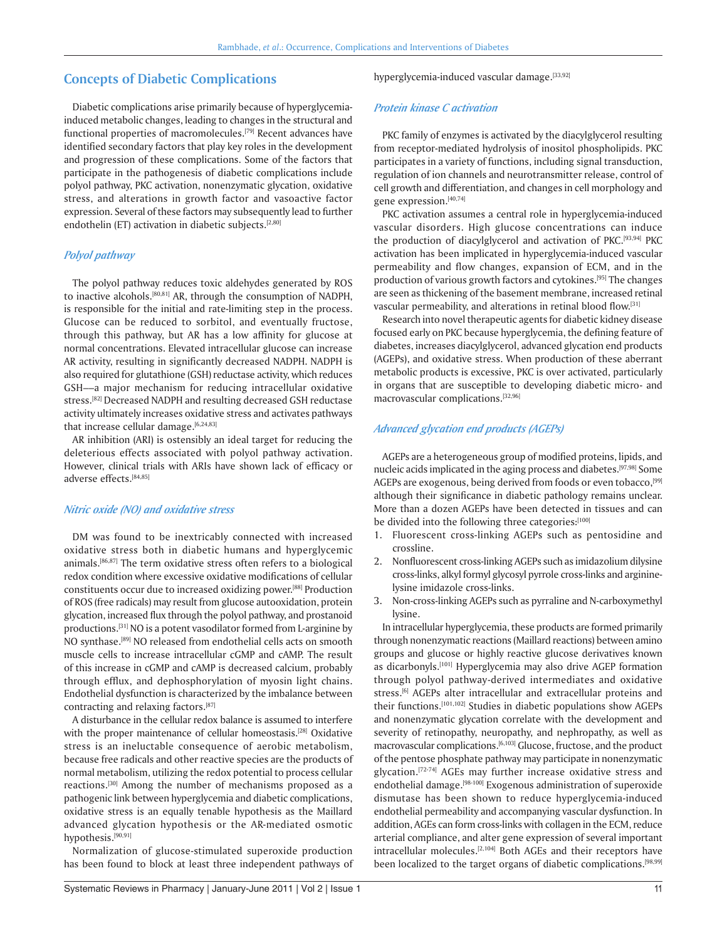# **Concepts of Diabetic Complications**

Diabetic complications arise primarily because of hyperglycemiainduced metabolic changes, leading to changes in the structural and functional properties of macromolecules.[79] Recent advances have identified secondary factors that play key roles in the development and progression of these complications. Some of the factors that participate in the pathogenesis of diabetic complications include polyol pathway, PKC activation, nonenzymatic glycation, oxidative stress, and alterations in growth factor and vasoactive factor expression. Several of these factors may subsequently lead to further endothelin (ET) activation in diabetic subjects. $[2,80]$ 

## *Polyol pathway*

The polyol pathway reduces toxic aldehydes generated by ROS to inactive alcohols.[80,81] AR, through the consumption of NADPH, is responsible for the initial and rate-limiting step in the process. Glucose can be reduced to sorbitol, and eventually fructose, through this pathway, but AR has a low affinity for glucose at normal concentrations. Elevated intracellular glucose can increase AR activity, resulting in significantly decreased NADPH. NADPH is also required for glutathione (GSH) reductase activity, which reduces GSH––a major mechanism for reducing intracellular oxidative stress.[82] Decreased NADPH and resulting decreased GSH reductase activity ultimately increases oxidative stress and activates pathways that increase cellular damage.[6,24,83]

AR inhibition (ARI) is ostensibly an ideal target for reducing the deleterious effects associated with polyol pathway activation. However, clinical trials with ARIs have shown lack of efficacy or adverse effects.[84,85]

#### *Nitric oxide (NO) and oxidative stress*

DM was found to be inextricably connected with increased oxidative stress both in diabetic humans and hyperglycemic animals.[86,87] The term oxidative stress often refers to a biological redox condition where excessive oxidative modifications of cellular constituents occur due to increased oxidizing power.[88] Production of ROS (free radicals) may result from glucose autooxidation, protein glycation, increased flux through the polyol pathway, and prostanoid productions.[31] NO is a potent vasodilator formed from L-arginine by NO synthase.[89] NO released from endothelial cells acts on smooth muscle cells to increase intracellular cGMP and cAMP. The result of this increase in cGMP and cAMP is decreased calcium, probably through efflux, and dephosphorylation of myosin light chains. Endothelial dysfunction is characterized by the imbalance between contracting and relaxing factors.<sup>[87]</sup>

A disturbance in the cellular redox balance is assumed to interfere with the proper maintenance of cellular homeostasis.<sup>[28]</sup> Oxidative stress is an ineluctable consequence of aerobic metabolism, because free radicals and other reactive species are the products of normal metabolism, utilizing the redox potential to process cellular reactions.[30] Among the number of mechanisms proposed as a pathogenic link between hyperglycemia and diabetic complications, oxidative stress is an equally tenable hypothesis as the Maillard advanced glycation hypothesis or the AR-mediated osmotic hypothesis.[90,91]

Normalization of glucose-stimulated superoxide production has been found to block at least three independent pathways of hyperglycemia-induced vascular damage.[33,92]

#### *Protein kinase C activation*

PKC family of enzymes is activated by the diacylglycerol resulting from receptor-mediated hydrolysis of inositol phospholipids. PKC participates in a variety of functions, including signal transduction, regulation of ion channels and neurotransmitter release, control of cell growth and differentiation, and changes in cell morphology and gene expression.[40,74]

PKC activation assumes a central role in hyperglycemia-induced vascular disorders. High glucose concentrations can induce the production of diacylglycerol and activation of PKC.<sup>[93,94]</sup> PKC activation has been implicated in hyperglycemia-induced vascular permeability and flow changes, expansion of ECM, and in the production of various growth factors and cytokines.[95] The changes are seen as thickening of the basement membrane, increased retinal vascular permeability, and alterations in retinal blood flow.[31]

Research into novel therapeutic agents for diabetic kidney disease focused early on PKC because hyperglycemia, the defining feature of diabetes, increases diacylglycerol, advanced glycation end products (AGEPs), and oxidative stress. When production of these aberrant metabolic products is excessive, PKC is over activated, particularly in organs that are susceptible to developing diabetic micro- and macrovascular complications.[32,96]

# *Advanced glycation end products (AGEPs)*

AGEPs are a heterogeneous group of modified proteins, lipids, and nucleic acids implicated in the aging process and diabetes.[97,98] Some AGEPs are exogenous, being derived from foods or even tobacco,<sup>[99]</sup> although their significance in diabetic pathology remains unclear. More than a dozen AGEPs have been detected in tissues and can be divided into the following three categories:[100]

- 1. Fluorescent cross-linking AGEPs such as pentosidine and crossline.
- 2. Nonfluorescent cross-linking AGEPs such as imidazolium dilysine cross-links, alkyl formyl glycosyl pyrrole cross-links and argininelysine imidazole cross-links.
- 3. Non-cross-linking AGEPs such as pyrraline and N-carboxymethyl lysine.

In intracellular hyperglycemia, these products are formed primarily through nonenzymatic reactions (Maillard reactions) between amino groups and glucose or highly reactive glucose derivatives known as dicarbonyls.<sup>[101]</sup> Hyperglycemia may also drive AGEP formation through polyol pathway-derived intermediates and oxidative stress.<sup>[6]</sup> AGEPs alter intracellular and extracellular proteins and their functions.[101,102] Studies in diabetic populations show AGEPs and nonenzymatic glycation correlate with the development and severity of retinopathy, neuropathy, and nephropathy, as well as macrovascular complications.<sup>[6,103]</sup> Glucose, fructose, and the product of the pentose phosphate pathway may participate in nonenzymatic glycation.[72-74] AGEs may further increase oxidative stress and endothelial damage.<sup>[98-100]</sup> Exogenous administration of superoxide dismutase has been shown to reduce hyperglycemia-induced endothelial permeability and accompanying vascular dysfunction. In addition, AGEs can form cross-links with collagen in the ECM, reduce arterial compliance, and alter gene expression of several important intracellular molecules.[2,104] Both AGEs and their receptors have been localized to the target organs of diabetic complications.<sup>[98,99]</sup>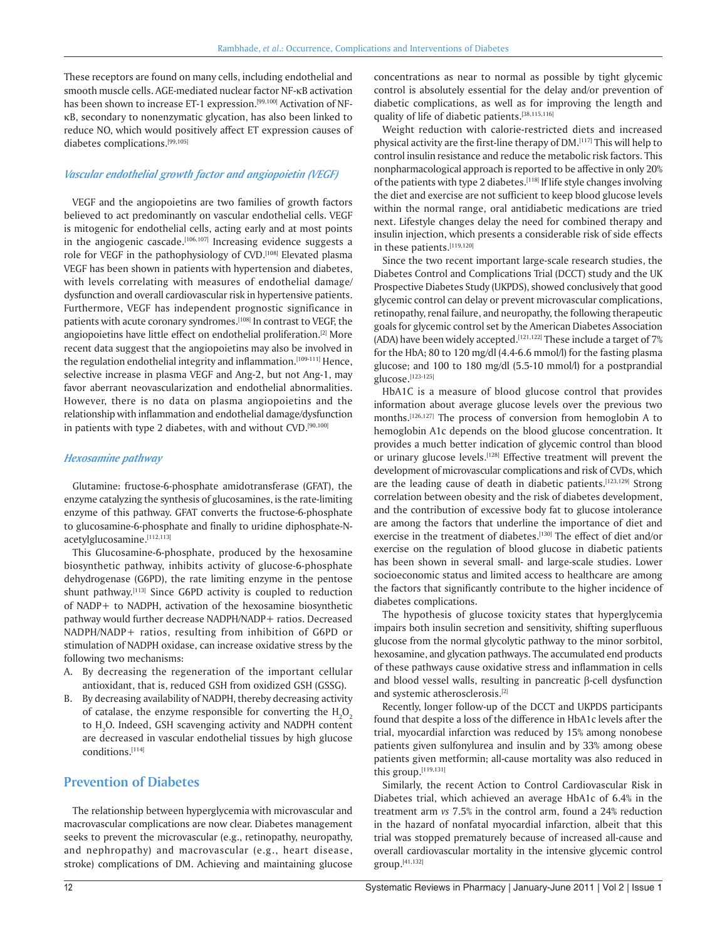These receptors are found on many cells, including endothelial and smooth muscle cells. AGE-mediated nuclear factor NF-KB activation has been shown to increase ET-1 expression.<sup>[99,100]</sup> Activation of NF-B, secondary to nonenzymatic glycation, has also been linked to reduce NO, which would positively affect ET expression causes of diabetes complications.[99,105]

## *Vascular endothelial growth factor and angiopoietin (VEGF)*

VEGF and the angiopoietins are two families of growth factors believed to act predominantly on vascular endothelial cells. VEGF is mitogenic for endothelial cells, acting early and at most points in the angiogenic cascade.<sup>[106,107]</sup> Increasing evidence suggests a role for VEGF in the pathophysiology of CVD.[108] Elevated plasma VEGF has been shown in patients with hypertension and diabetes, with levels correlating with measures of endothelial damage/ dysfunction and overall cardiovascular risk in hypertensive patients. Furthermore, VEGF has independent prognostic significance in patients with acute coronary syndromes.<sup>[108]</sup> In contrast to VEGF, the angiopoietins have little effect on endothelial proliferation.[2] More recent data suggest that the angiopoietins may also be involved in the regulation endothelial integrity and inflammation.<sup>[109-111]</sup> Hence, selective increase in plasma VEGF and Ang-2, but not Ang-1, may favor aberrant neovascularization and endothelial abnormalities. However, there is no data on plasma angiopoietins and the relationship with inflammation and endothelial damage/dysfunction in patients with type 2 diabetes, with and without CVD.<sup>[90,100]</sup>

## *Hexosamine pathway*

Glutamine: fructose-6-phosphate amidotransferase (GFAT), the enzyme catalyzing the synthesis of glucosamines, is the rate-limiting enzyme of this pathway. GFAT converts the fructose-6-phosphate to glucosamine-6-phosphate and finally to uridine diphosphate-Nacetylglucosamine.[112,113]

This Glucosamine-6-phosphate, produced by the hexosamine biosynthetic pathway, inhibits activity of glucose-6-phosphate dehydrogenase (G6PD), the rate limiting enzyme in the pentose shunt pathway.<sup>[113]</sup> Since G6PD activity is coupled to reduction of NADP+ to NADPH, activation of the hexosamine biosynthetic pathway would further decrease NADPH/NADP+ ratios. Decreased NADPH/NADP+ ratios, resulting from inhibition of G6PD or stimulation of NADPH oxidase, can increase oxidative stress by the following two mechanisms:

- A. By decreasing the regeneration of the important cellular antioxidant, that is, reduced GSH from oxidized GSH (GSSG).
- B. By decreasing availability of NADPH, thereby decreasing activity of catalase, the enzyme responsible for converting the  ${\rm H_2O}_{_2}$ to H<sub>2</sub>O. Indeed, GSH scavenging activity and NADPH content are decreased in vascular endothelial tissues by high glucose conditions.[114]

# **Prevention of Diabetes**

The relationship between hyperglycemia with microvascular and macrovascular complications are now clear. Diabetes management seeks to prevent the microvascular (e.g., retinopathy, neuropathy, and nephropathy) and macrovascular (e.g., heart disease, stroke) complications of DM. Achieving and maintaining glucose concentrations as near to normal as possible by tight glycemic control is absolutely essential for the delay and/or prevention of diabetic complications, as well as for improving the length and quality of life of diabetic patients.[38,115,116]

Weight reduction with calorie-restricted diets and increased physical activity are the first-line therapy of DM.[117] This will help to control insulin resistance and reduce the metabolic risk factors. This nonpharmacological approach is reported to be affective in only 20% of the patients with type 2 diabetes.<sup>[118]</sup> If life style changes involving the diet and exercise are not sufficient to keep blood glucose levels within the normal range, oral antidiabetic medications are tried next. Lifestyle changes delay the need for combined therapy and insulin injection, which presents a considerable risk of side effects in these patients.[119,120]

Since the two recent important large-scale research studies, the Diabetes Control and Complications Trial (DCCT) study and the UK Prospective Diabetes Study (UKPDS), showed conclusively that good glycemic control can delay or prevent microvascular complications, retinopathy, renal failure, and neuropathy, the following therapeutic goals for glycemic control set by the American Diabetes Association (ADA) have been widely accepted.<sup>[121,122]</sup> These include a target of  $7\%$ for the HbA; 80 to 120 mg/dl (4.4-6.6 mmol/l) for the fasting plasma glucose; and 100 to 180 mg/dl (5.5-10 mmol/l) for a postprandial glucose.[123-125]

HbA1C is a measure of blood glucose control that provides information about average glucose levels over the previous two months.[126,127] The process of conversion from hemoglobin A to hemoglobin A1c depends on the blood glucose concentration. It provides a much better indication of glycemic control than blood or urinary glucose levels.<sup>[128]</sup> Effective treatment will prevent the development of microvascular complications and risk of CVDs, which are the leading cause of death in diabetic patients.<sup>[123,129]</sup> Strong correlation between obesity and the risk of diabetes development, and the contribution of excessive body fat to glucose intolerance are among the factors that underline the importance of diet and exercise in the treatment of diabetes.<sup>[130]</sup> The effect of diet and/or exercise on the regulation of blood glucose in diabetic patients has been shown in several small- and large-scale studies. Lower socioeconomic status and limited access to healthcare are among the factors that significantly contribute to the higher incidence of diabetes complications.

The hypothesis of glucose toxicity states that hyperglycemia impairs both insulin secretion and sensitivity, shifting superfluous glucose from the normal glycolytic pathway to the minor sorbitol, hexosamine, and glycation pathways. The accumulated end products of these pathways cause oxidative stress and inflammation in cells and blood vessel walls, resulting in pancreatic  $\beta$ -cell dysfunction and systemic atherosclerosis.[2]

Recently, longer follow-up of the DCCT and UKPDS participants found that despite a loss of the difference in HbA1c levels after the trial, myocardial infarction was reduced by 15% among nonobese patients given sulfonylurea and insulin and by 33% among obese patients given metformin; all-cause mortality was also reduced in this group.[119,131]

Similarly, the recent Action to Control Cardiovascular Risk in Diabetes trial, which achieved an average HbA1c of 6.4% in the treatment arm *vs* 7.5% in the control arm, found a 24% reduction in the hazard of nonfatal myocardial infarction, albeit that this trial was stopped prematurely because of increased all-cause and overall cardiovascular mortality in the intensive glycemic control group.[41,132]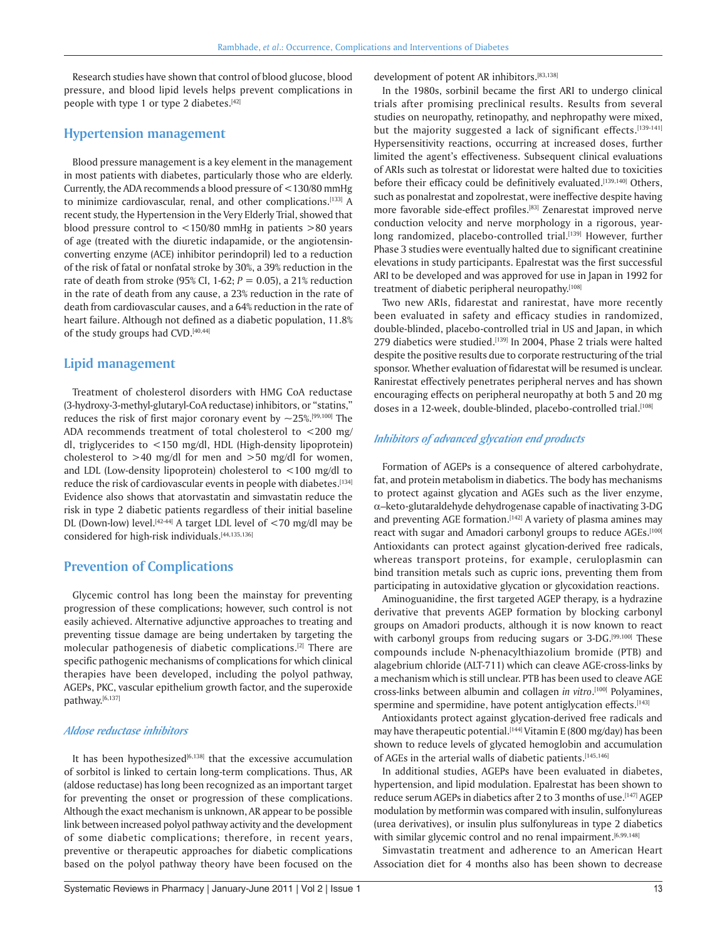Research studies have shown that control of blood glucose, blood pressure, and blood lipid levels helps prevent complications in people with type 1 or type 2 diabetes.<sup>[42]</sup>

# **Hypertension management**

Blood pressure management is a key element in the management in most patients with diabetes, particularly those who are elderly. Currently, the ADA recommends a blood pressure of <130/80 mmHg to minimize cardiovascular, renal, and other complications.[133] A recent study, the Hypertension in the Very Elderly Trial, showed that blood pressure control to <150/80 mmHg in patients >80 years of age (treated with the diuretic indapamide, or the angiotensinconverting enzyme (ACE) inhibitor perindopril) led to a reduction of the risk of fatal or nonfatal stroke by 30%, a 39% reduction in the rate of death from stroke (95% CI, 1-62; *P =* 0.05), a 21% reduction in the rate of death from any cause, a 23% reduction in the rate of death from cardiovascular causes, and a 64% reduction in the rate of heart failure. Although not defined as a diabetic population, 11.8% of the study groups had CVD.[40,44]

# **Lipid management**

Treatment of cholesterol disorders with HMG CoA reductase (3-hydroxy-3-methyl-glutaryl-CoA reductase) inhibitors, or "statins," reduces the risk of first major coronary event by  $\sim$ 25%.<sup>[99,100]</sup> The ADA recommends treatment of total cholesterol to  $<$ 200 mg/ dl, triglycerides to <150 mg/dl, HDL (High-density lipoprotein) cholesterol to  $>40$  mg/dl for men and  $>50$  mg/dl for women, and LDL (Low-density lipoprotein) cholesterol to <100 mg/dl to reduce the risk of cardiovascular events in people with diabetes.<sup>[134]</sup> Evidence also shows that atorvastatin and simvastatin reduce the risk in type 2 diabetic patients regardless of their initial baseline DL (Down-low) level.<sup>[42-44]</sup> A target LDL level of  $<$ 70 mg/dl may be considered for high-risk individuals.[44,135,136]

# **Prevention of Complications**

Glycemic control has long been the mainstay for preventing progression of these complications; however, such control is not easily achieved. Alternative adjunctive approaches to treating and preventing tissue damage are being undertaken by targeting the molecular pathogenesis of diabetic complications.[2] There are specific pathogenic mechanisms of complications for which clinical therapies have been developed, including the polyol pathway, AGEPs, PKC, vascular epithelium growth factor, and the superoxide pathway.[6,137]

# *Aldose reductase inhibitors*

It has been hypothesized $[6,138]$  that the excessive accumulation of sorbitol is linked to certain long-term complications. Thus, AR (aldose reductase) has long been recognized as an important target for preventing the onset or progression of these complications. Although the exact mechanism is unknown, AR appear to be possible link between increased polyol pathway activity and the development of some diabetic complications; therefore, in recent years, preventive or therapeutic approaches for diabetic complications based on the polyol pathway theory have been focused on the development of potent AR inhibitors.[83,138]

In the 1980s, sorbinil became the first ARI to undergo clinical trials after promising preclinical results. Results from several studies on neuropathy, retinopathy, and nephropathy were mixed, but the majority suggested a lack of significant effects.[139-141] Hypersensitivity reactions, occurring at increased doses, further limited the agent's effectiveness. Subsequent clinical evaluations of ARIs such as tolrestat or lidorestat were halted due to toxicities before their efficacy could be definitively evaluated.[139,140] Others, such as ponalrestat and zopolrestat, were ineffective despite having more favorable side-effect profiles.<sup>[83]</sup> Zenarestat improved nerve conduction velocity and nerve morphology in a rigorous, yearlong randomized, placebo-controlled trial.[139] However, further Phase 3 studies were eventually halted due to significant creatinine elevations in study participants. Epalrestat was the first successful ARI to be developed and was approved for use in Japan in 1992 for treatment of diabetic peripheral neuropathy.[108]

Two new ARIs, fidarestat and ranirestat, have more recently been evaluated in safety and efficacy studies in randomized, double-blinded, placebo-controlled trial in US and Japan, in which 279 diabetics were studied.<sup>[139]</sup> In 2004, Phase 2 trials were halted despite the positive results due to corporate restructuring of the trial sponsor. Whether evaluation of fidarestat will be resumed is unclear. Ranirestat effectively penetrates peripheral nerves and has shown encouraging effects on peripheral neuropathy at both 5 and 20 mg doses in a 12-week, double-blinded, placebo-controlled trial.[108]

## *Inhibitors of advanced glycation end products*

Formation of AGEPs is a consequence of altered carbohydrate, fat, and protein metabolism in diabetics. The body has mechanisms to protect against glycation and AGEs such as the liver enzyme,  $\alpha$ –keto-glutaraldehyde dehydrogenase capable of inactivating 3-DG and preventing AGE formation.<sup>[142]</sup> A variety of plasma amines may react with sugar and Amadori carbonyl groups to reduce AGEs.[100] Antioxidants can protect against glycation-derived free radicals, whereas transport proteins, for example, ceruloplasmin can bind transition metals such as cupric ions, preventing them from participating in autoxidative glycation or glycoxidation reactions.

Aminoguanidine, the first targeted AGEP therapy, is a hydrazine derivative that prevents AGEP formation by blocking carbonyl groups on Amadori products, although it is now known to react with carbonyl groups from reducing sugars or 3-DG.<sup>[99,100]</sup> These compounds include N-phenacylthiazolium bromide (PTB) and alagebrium chloride (ALT-711) which can cleave AGE-cross-links by a mechanism which is still unclear. PTB has been used to cleave AGE cross-links between albumin and collagen *in vitro*. [100] Polyamines, spermine and spermidine, have potent antiglycation effects.<sup>[143]</sup>

Antioxidants protect against glycation-derived free radicals and may have therapeutic potential.<sup>[144]</sup> Vitamin E (800 mg/day) has been shown to reduce levels of glycated hemoglobin and accumulation of AGEs in the arterial walls of diabetic patients.<sup>[145,146]</sup>

In additional studies, AGEPs have been evaluated in diabetes, hypertension, and lipid modulation. Epalrestat has been shown to reduce serum AGEPs in diabetics after 2 to 3 months of use.[147] AGEP modulation by metformin was compared with insulin, sulfonylureas (urea derivatives), or insulin plus sulfonylureas in type 2 diabetics with similar glycemic control and no renal impairment.<sup>[6,99,148]</sup>

Simvastatin treatment and adherence to an American Heart Association diet for 4 months also has been shown to decrease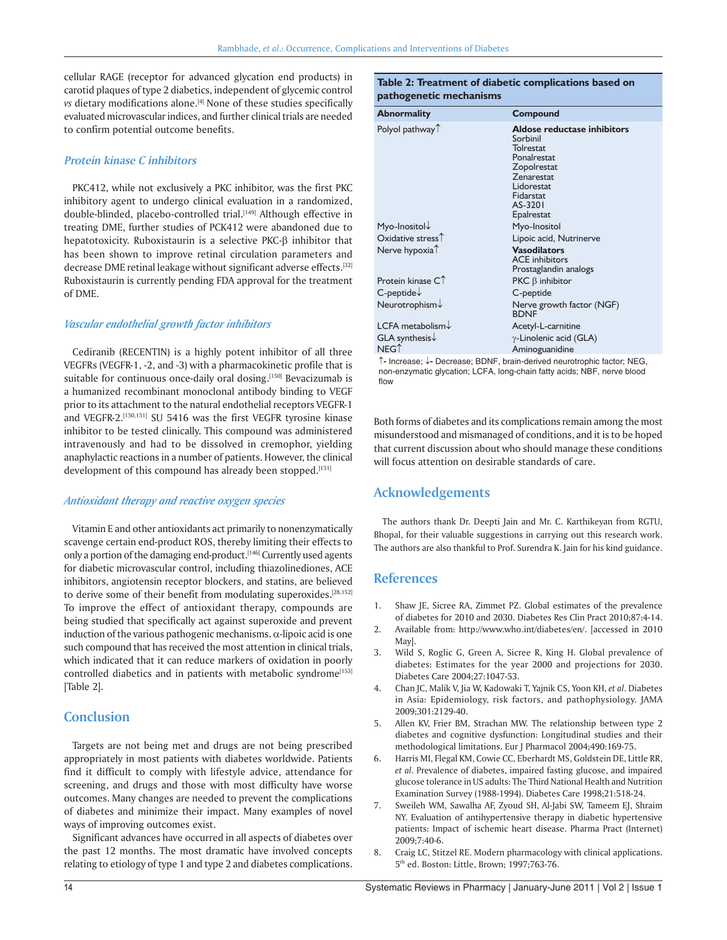cellular RAGE (receptor for advanced glycation end products) in carotid plaques of type 2 diabetics, independent of glycemic control *vs* dietary modifications alone.<sup>[4]</sup> None of these studies specifically evaluated microvascular indices, and further clinical trials are needed to confirm potential outcome benefits.

# **Protein kinase C inhibitors**

PKC412, while not exclusively a PKC inhibitor, was the first PKC inhibitory agent to undergo clinical evaluation in a randomized, double-blinded, placebo-controlled trial.<sup>[149]</sup> Although effective in treating DME, further studies of PCK412 were abandoned due to hepatotoxicity. Ruboxistaurin is a selective  $PKC-\beta$  inhibitor that has been shown to improve retinal circulation parameters and decrease DME retinal leakage without significant adverse effects.<sup>[32]</sup> Ruboxistaurin is currently pending FDA approval for the treatment of DME.

#### *Vascular endothelial growth factor inhibitors*

Cediranib (RECENTIN) is a highly potent inhibitor of all three VEGFRs (VEGFR-1, -2, and -3) with a pharmacokinetic profile that is suitable for continuous once-daily oral dosing.<sup>[150]</sup> Bevacizumab is a humanized recombinant monoclonal antibody binding to VEGF prior to its attachment to the natural endothelial receptors VEGFR-1 and VEGFR-2.<sup>[150,151]</sup> SU 5416 was the first VEGFR tyrosine kinase inhibitor to be tested clinically. This compound was administered intravenously and had to be dissolved in cremophor, yielding anaphylactic reactions in a number of patients. However, the clinical development of this compound has already been stopped.[151]

#### *Antioxidant therapy and reactive oxygen species*

Vitamin E and other antioxidants act primarily to nonenzymatically scavenge certain end-product ROS, thereby limiting their effects to only a portion of the damaging end-product.<sup>[146]</sup> Currently used agents for diabetic microvascular control, including thiazolinediones, ACE inhibitors, angiotensin receptor blockers, and statins, are believed to derive some of their benefit from modulating superoxides.<sup>[28,152]</sup> To improve the effect of antioxidant therapy, compounds are being studied that specifically act against superoxide and prevent induction of the various pathogenic mechanisms.  $\alpha$ -lipoic acid is one such compound that has received the most attention in clinical trials, which indicated that it can reduce markers of oxidation in poorly controlled diabetics and in patients with metabolic syndrome<sup>[153]</sup> [Table 2].

# **Conclusion**

Targets are not being met and drugs are not being prescribed appropriately in most patients with diabetes worldwide. Patients find it difficult to comply with lifestyle advice, attendance for screening, and drugs and those with most difficulty have worse outcomes. Many changes are needed to prevent the complications of diabetes and minimize their impact. Many examples of novel ways of improving outcomes exist.

Significant advances have occurred in all aspects of diabetes over the past 12 months. The most dramatic have involved concepts relating to etiology of type 1 and type 2 and diabetes complications.

## **Table 2: Treatment of diabetic complications based on pathogenetic mechanisms**

| <b>Abnormality</b>            | Compound                                                                                                                                                    |
|-------------------------------|-------------------------------------------------------------------------------------------------------------------------------------------------------------|
| Polyol pathway <sup>T</sup>   | Aldose reductase inhibitors<br>Sorbinil<br><b>Tolrestat</b><br>Ponalrestat<br>Zopolrestat<br>Zenarestat<br>Lidorestat<br>Fidarstat<br>AS-3201<br>Epalrestat |
| Myo-Inositol                  | Myo-Inositol                                                                                                                                                |
| Oxidative stress <sup>1</sup> | Lipoic acid, Nutrinerve                                                                                                                                     |
| Nerve hypoxia <sup>1</sup>    | <b>Vasodilators</b><br><b>ACE</b> inhibitors<br>Prostaglandin analogs                                                                                       |
| Protein kinase $C\hat{}$      | $PKC \beta$ inhibitor                                                                                                                                       |
| $C$ -peptide $\downarrow$     | C-peptide                                                                                                                                                   |
| Neurotrophism↓                | Nerve growth factor (NGF)<br><b>RDNF</b>                                                                                                                    |
| LCFA metabolism $\downarrow$  | Acetyl-L-carnitine                                                                                                                                          |
| $GLA$ synthesis $\downarrow$  | $\gamma$ -Linolenic acid (GLA)                                                                                                                              |
| $NEG^$                        | Aminoguanidine                                                                                                                                              |

**-** Increase; **-** Decrease; BDNF, brain-derived neurotrophic factor; NEG, non-enzymatic glycation; LCFA, long-chain fatty acids; NBF, nerve blood flow

Both forms of diabetes and its complications remain among the most misunderstood and mismanaged of conditions, and it is to be hoped that current discussion about who should manage these conditions will focus attention on desirable standards of care.

# **Acknowledgements**

The authors thank Dr. Deepti Jain and Mr. C. Karthikeyan from RGTU, Bhopal, for their valuable suggestions in carrying out this research work. The authors are also thankful to Prof. Surendra K. Jain for his kind guidance.

# **References**

- 1. Shaw JE, Sicree RA, Zimmet PZ. Global estimates of the prevalence of diabetes for 2010 and 2030. Diabetes Res Clin Pract 2010;87:4-14.
- 2. Available from: http://www.who.int/diabetes/en/. [accessed in 2010 May].
- 3. Wild S, Roglic G, Green A, Sicree R, King H. Global prevalence of diabetes: Estimates for the year 2000 and projections for 2030. Diabetes Care 2004;27:1047-53.
- 4. Chan JC, Malik V, Jia W, Kadowaki T, Yajnik CS, Yoon KH, *et al*. Diabetes in Asia: Epidemiology, risk factors, and pathophysiology. JAMA 2009;301:2129-40.
- 5. Allen KV, Frier BM, Strachan MW. The relationship between type 2 diabetes and cognitive dysfunction: Longitudinal studies and their methodological limitations. Eur J Pharmacol 2004;490:169-75.
- 6. Harris MI, Flegal KM, Cowie CC, Eberhardt MS, Goldstein DE, Little RR, *et al*. Prevalence of diabetes, impaired fasting glucose, and impaired glucose tolerance in US adults: The Third National Health and Nutrition Examination Survey (1988-1994). Diabetes Care 1998;21:518-24.
- 7. Sweileh WM, Sawalha AF, Zyoud SH, Al-Jabi SW, Tameem EJ, Shraim NY. Evaluation of antihypertensive therapy in diabetic hypertensive patients: Impact of ischemic heart disease. Pharma Pract (Internet) 2009;7:40-6.
- 8. Craig LC, Stitzel RE. Modern pharmacology with clinical applications. 5th ed. Boston: Little, Brown; 1997;763-76.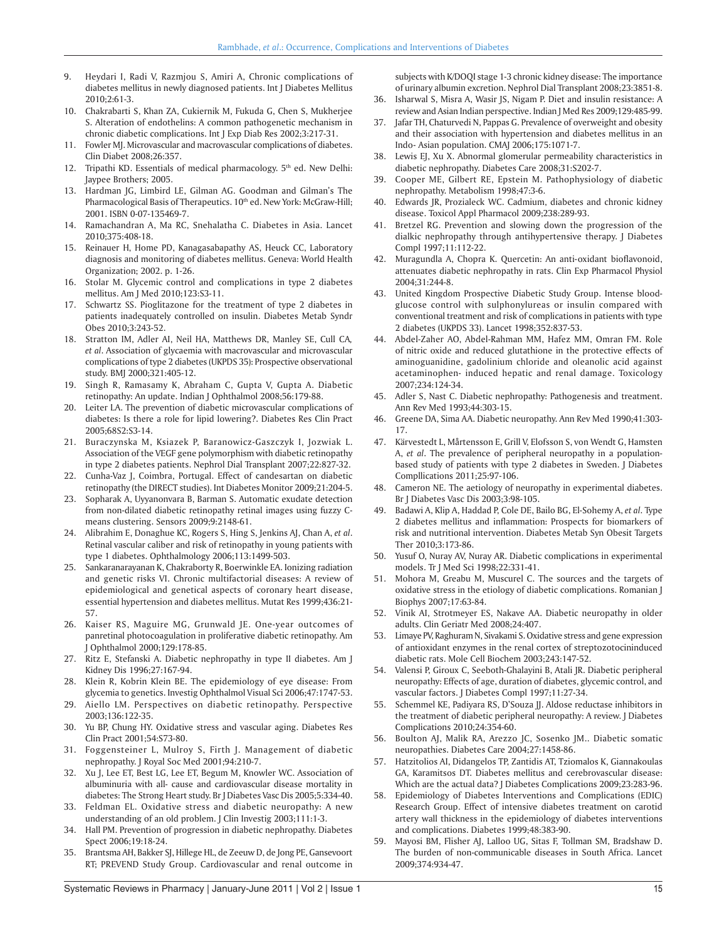- 9. Heydari I, Radi V, Razmjou S, Amiri A, Chronic complications of diabetes mellitus in newly diagnosed patients. Int J Diabetes Mellitus 2010;2:61-3.
- 10. Chakrabarti S, Khan ZA, Cukiernik M, Fukuda G, Chen S, Mukherjee S. Alteration of endothelins: A common pathogenetic mechanism in chronic diabetic complications. Int J Exp Diab Res 2002;3:217-31.
- 11. Fowler MJ. Microvascular and macrovascular complications of diabetes. Clin Diabet 2008;26:357.
- 12. Tripathi KD. Essentials of medical pharmacology. 5<sup>th</sup> ed. New Delhi: Jaypee Brothers; 2005.
- 13. Hardman JG, Limbird LE, Gilman AG. Goodman and Gilman's The Pharmacological Basis of Therapeutics. 10th ed. New York: McGraw-Hill; 2001. ISBN 0-07-135469-7.
- 14. Ramachandran A, Ma RC, Snehalatha C. Diabetes in Asia. Lancet 2010;375:408-18.
- 15. Reinauer H, Home PD, Kanagasabapathy AS, Heuck CC, Laboratory diagnosis and monitoring of diabetes mellitus. Geneva: World Health Organization; 2002. p. 1-26.
- 16. Stolar M. Glycemic control and complications in type 2 diabetes mellitus. Am J Med 2010;123:S3-11.
- 17. Schwartz SS. Pioglitazone for the treatment of type 2 diabetes in patients inadequately controlled on insulin. Diabetes Metab Syndr Obes 2010;3:243-52.
- 18. Stratton IM, Adler AI, Neil HA, Matthews DR, Manley SE, Cull CA*, et al*. Association of glycaemia with macrovascular and microvascular complications of type 2 diabetes (UKPDS 35): Prospective observational study. BMJ 2000;321:405-12.
- 19. Singh R, Ramasamy K, Abraham C, Gupta V, Gupta A. Diabetic retinopathy: An update. Indian J Ophthalmol 2008;56:179-88.
- 20. Leiter LA. The prevention of diabetic microvascular complications of diabetes: Is there a role for lipid lowering?. Diabetes Res Clin Pract 2005;68S2:S3-14.
- 21. Buraczynska M, Ksiazek P, Baranowicz-Gaszczyk I, Jozwiak L. Association of the VEGF gene polymorphism with diabetic retinopathy in type 2 diabetes patients. Nephrol Dial Transplant 2007;22:827-32.
- 22. Cunha-Vaz J, Coimbra, Portugal. Effect of candesartan on diabetic retinopathy (the DIRECT studies). Int Diabetes Monitor 2009;21:204-5.
- 23. Sopharak A, Uyyanonvara B, Barman S. Automatic exudate detection from non-dilated diabetic retinopathy retinal images using fuzzy Cmeans clustering. Sensors 2009;9:2148-61.
- 24. Alibrahim E, Donaghue KC, Rogers S, Hing S, Jenkins AJ, Chan A, *et al*. Retinal vascular caliber and risk of retinopathy in young patients with type 1 diabetes. Ophthalmology 2006;113:1499-503.
- 25. Sankaranarayanan K, Chakraborty R, Boerwinkle EA. Ionizing radiation and genetic risks VI. Chronic multifactorial diseases: A review of epidemiological and genetical aspects of coronary heart disease, essential hypertension and diabetes mellitus. Mutat Res 1999;436:21- 57.
- 26. Kaiser RS, Maguire MG, Grunwald JE. One-year outcomes of panretinal photocoagulation in proliferative diabetic retinopathy. Am J Ophthalmol 2000;129:178-85.
- 27. Ritz E, Stefanski A. Diabetic nephropathy in type II diabetes. Am J Kidney Dis 1996;27:167-94.
- 28. Klein R, Kobrin Klein BE. The epidemiology of eye disease: From glycemia to genetics. Investig Ophthalmol Visual Sci 2006;47:1747-53.
- 29. Aiello LM. Perspectives on diabetic retinopathy. Perspective 2003;136:122-35.
- 30. Yu BP, Chung HY. Oxidative stress and vascular aging. Diabetes Res Clin Pract 2001;54:S73-80.
- 31. Foggensteiner L, Mulroy S, Firth J. Management of diabetic nephropathy. J Royal Soc Med 2001;94:210-7.
- 32. Xu J, Lee ET, Best LG, Lee ET, Begum M, Knowler WC. Association of albuminuria with all- cause and cardiovascular disease mortality in diabetes: The Strong Heart study. Br J Diabetes Vasc Dis 2005;5:334-40.
- 33. Feldman EL. Oxidative stress and diabetic neuropathy: A new understanding of an old problem. J Clin Investig 2003;111:1-3.
- 34. Hall PM. Prevention of progression in diabetic nephropathy. Diabetes Spect 2006;19:18-24.
- 35. Brantsma AH, Bakker SJ, Hillege HL, de Zeeuw D, de Jong PE, Gansevoort RT; PREVEND Study Group. Cardiovascular and renal outcome in

subjects with K/DOQI stage 1-3 chronic kidney disease: The importance of urinary albumin excretion. Nephrol Dial Transplant 2008;23:3851-8.

- 36. Isharwal S, Misra A, Wasir JS, Nigam P. Diet and insulin resistance: A review and Asian Indian perspective. Indian J Med Res 2009;129:485-99.
- 37. Jafar TH, Chaturvedi N, Pappas G. Prevalence of overweight and obesity and their association with hypertension and diabetes mellitus in an Indo- Asian population. CMAJ 2006;175:1071-7.
- 38. Lewis EJ, Xu X. Abnormal glomerular permeability characteristics in diabetic nephropathy. Diabetes Care 2008;31:S202-7.
- 39. Cooper ME, Gilbert RE, Epstein M. Pathophysiology of diabetic nephropathy. Metabolism 1998;47:3-6.
- 40. Edwards JR, Prozialeck WC. Cadmium, diabetes and chronic kidney disease. Toxicol Appl Pharmacol 2009;238:289-93.
- 41. Bretzel RG. Prevention and slowing down the progression of the dialkic nephropathy through antihypertensive therapy. J Diabetes Compl 1997;11:112-22.
- 42. Muragundla A, Chopra K. Quercetin: An anti-oxidant bioflavonoid, attenuates diabetic nephropathy in rats. Clin Exp Pharmacol Physiol 2004;31:244-8.
- 43. United Kingdom Prospective Diabetic Study Group. Intense bloodglucose control with sulphonylureas or insulin compared with conventional treatment and risk of complications in patients with type 2 diabetes (UKPDS 33). Lancet 1998;352:837-53.
- 44. Abdel-Zaher AO, Abdel-Rahman MM, Hafez MM, Omran FM. Role of nitric oxide and reduced glutathione in the protective effects of aminoguanidine, gadolinium chloride and oleanolic acid against acetaminophen- induced hepatic and renal damage. Toxicology 2007;234:124-34.
- 45. Adler S, Nast C. Diabetic nephropathy: Pathogenesis and treatment. Ann Rev Med 1993;44:303-15.
- 46. Greene DA, Sima AA. Diabetic neuropathy. Ann Rev Med 1990;41:303- 17.
- 47. Kärvestedt L, Mårtensson E, Grill V, Elofsson S, von Wendt G, Hamsten A, *et al*. The prevalence of peripheral neuropathy in a populationbased study of patients with type 2 diabetes in Sweden. J Diabetes Compllications 2011;25:97-106.
- 48. Cameron NE. The aetiology of neuropathy in experimental diabetes. Br J Diabetes Vasc Dis 2003;3:98-105.
- 49. Badawi A, Klip A, Haddad P, Cole DE, Bailo BG, El-Sohemy A, *et al*. Type 2 diabetes mellitus and inflammation: Prospects for biomarkers of risk and nutritional intervention. Diabetes Metab Syn Obesit Targets Ther 2010;3:173-86.
- 50. Yusuf O, Nuray AV, Nuray AR. Diabetic complications in experimental models. Tr J Med Sci 1998;22:331-41.
- 51. Mohora M, Greabu M, Muscurel C. The sources and the targets of oxidative stress in the etiology of diabetic complications. Romanian J Biophys 2007;17:63-84.
- 52. Vinik AI, Strotmeyer ES, Nakave AA. Diabetic neuropathy in older adults. Clin Geriatr Med 2008;24:407.
- 53. Limaye PV, Raghuram N, Sivakami S. Oxidative stress and gene expression of antioxidant enzymes in the renal cortex of streptozotocininduced diabetic rats. Mole Cell Biochem 2003;243:147-52.
- 54. Valensi P, Giroux C, Seeboth-Ghalayini B, Atali JR. Diabetic peripheral neuropathy: Effects of age, duration of diabetes, glycemic control, and vascular factors. J Diabetes Compl 1997;11:27-34.
- 55. Schemmel KE, Padiyara RS, D'Souza JJ. Aldose reductase inhibitors in the treatment of diabetic peripheral neuropathy: A review. J Diabetes Complications 2010;24:354-60.
- 56. Boulton AJ, Malik RA, Arezzo JC, Sosenko JM.. Diabetic somatic neuropathies. Diabetes Care 2004;27:1458-86.
- 57. Hatzitolios AI, Didangelos TP, Zantidis AT, Tziomalos K, Giannakoulas GA, Karamitsos DT. Diabetes mellitus and cerebrovascular disease: Which are the actual data? J Diabetes Complications 2009;23:283-96.
- 58. Epidemiology of Diabetes Interventions and Complications (EDIC) Research Group. Effect of intensive diabetes treatment on carotid artery wall thickness in the epidemiology of diabetes interventions and complications. Diabetes 1999;48:383-90.
- 59. Mayosi BM, Flisher AJ, Lalloo UG, Sitas F, Tollman SM, Bradshaw D. The burden of non-communicable diseases in South Africa. Lancet 2009;374:934-47.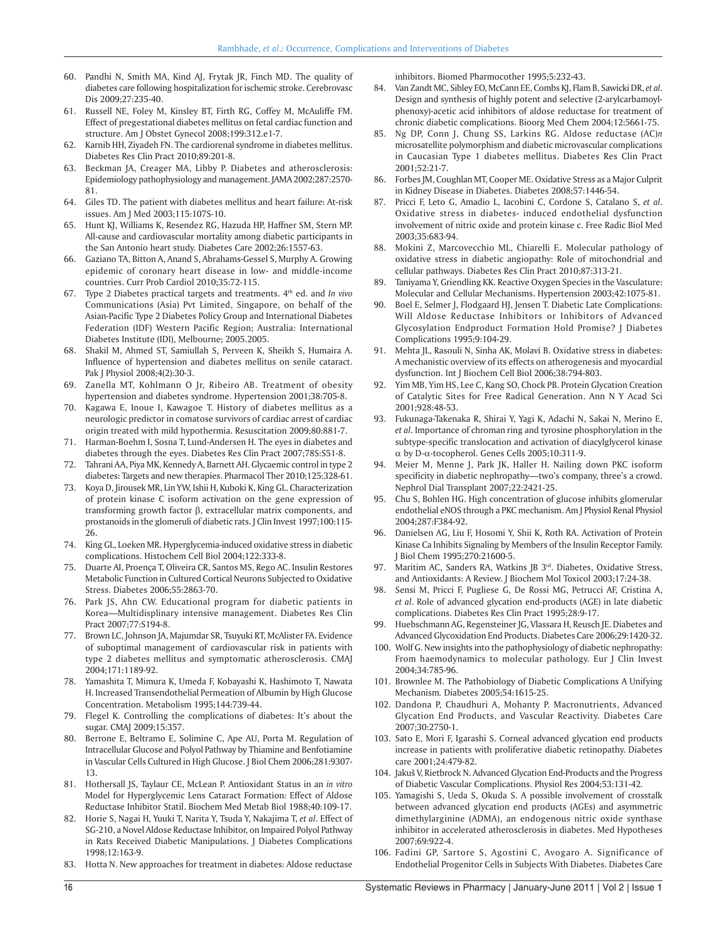- 60. Pandhi N, Smith MA, Kind AJ, Frytak JR, Finch MD. The quality of diabetes care following hospitalization for ischemic stroke. Cerebrovasc Dis 2009;27:235-40.
- 61. Russell NE, Foley M, Kinsley BT, Firth RG, Coffey M, McAuliffe FM. Effect of pregestational diabetes mellitus on fetal cardiac function and structure. Am J Obstet Gynecol 2008;199:312.e1-7.
- 62. Karnib HH, Ziyadeh FN. The cardiorenal syndrome in diabetes mellitus. Diabetes Res Clin Pract 2010;89:201-8.
- 63. Beckman JA, Creager MA, Libby P. Diabetes and atherosclerosis: Epidemiology pathophysiology and management. JAMA 2002;287:2570- 81.
- 64. Giles TD. The patient with diabetes mellitus and heart failure: At-risk issues. Am J Med 2003;115:107S-10.
- 65. Hunt KJ, Williams K, Resendez RG, Hazuda HP, Haffner SM, Stern MP. All-cause and cardiovascular mortality among diabetic participants in the San Antonio heart study. Diabetes Care 2002;26:1557-63.
- 66. Gaziano TA, Bitton A, Anand S, Abrahams-Gessel S, Murphy A. Growing epidemic of coronary heart disease in low- and middle-income countries. Curr Prob Cardiol 2010;35:72-115.
- 67. Type 2 Diabetes practical targets and treatments. 4th ed. and *In vivo* Communications (Asia) Pvt Limited, Singapore, on behalf of the Asian-Pacific Type 2 Diabetes Policy Group and International Diabetes Federation (IDF) Western Pacific Region; Australia: International Diabetes Institute (IDI), Melbourne; 2005.2005.
- 68. Shakil M, Ahmed ST, Samiullah S, Perveen K, Sheikh S, Humaira A. Influence of hypertension and diabetes mellitus on senile cataract. Pak J Physiol 2008;4(2):30-3.
- 69. Zanella MT, Kohlmann O Jr, Ribeiro AB. Treatment of obesity hypertension and diabetes syndrome. Hypertension 2001;38:705-8.
- 70. Kagawa E, Inoue I, Kawagoe T. History of diabetes mellitus as a neurologic predictor in comatose survivors of cardiac arrest of cardiac origin treated with mild hypothermia. Resuscitation 2009;80:881-7.
- 71. Harman-Boehm I, Sosna T, Lund-Andersen H. The eyes in diabetes and diabetes through the eyes. Diabetes Res Clin Pract 2007;78S:S51-8.
- 72. Tahrani AA, Piya MK, Kennedy A, Barnett AH. Glycaemic control in type 2 diabetes: Targets and new therapies. Pharmacol Ther 2010;125:328-61.
- 73. Koya D, Jirousek MR, Lin YW, Ishii H, Kuboki K, King GL. Characterization of protein kinase C isoform activation on the gene expression of transforming growth factor  $\beta$ , extracellular matrix components, and prostanoids in the glomeruli of diabetic rats. J Clin Invest 1997;100:115- 26.
- 74. King GL, Loeken MR. Hyperglycemia-induced oxidative stress in diabetic complications. Histochem Cell Biol 2004;122:333-8.
- 75. Duarte AI, Proença T, Oliveira CR, Santos MS, Rego AC. Insulin Restores Metabolic Function in Cultured Cortical Neurons Subjected to Oxidative Stress. Diabetes 2006;55:2863-70.
- 76. Park JS, Ahn CW. Educational program for diabetic patients in Korea—Multidisplinary intensive management. Diabetes Res Clin Pract 2007;77:S194-8.
- 77. Brown LC, Johnson JA, Majumdar SR, Tsuyuki RT, McAlister FA. Evidence of suboptimal management of cardiovascular risk in patients with type 2 diabetes mellitus and symptomatic atherosclerosis. CMAJ 2004;171:1189-92.
- 78. Yamashita T, Mimura K, Umeda F, Kobayashi K, Hashimoto T, Nawata H. Increased Transendothelial Permeation of Albumin by High Glucose Concentration. Metabolism 1995;144:739-44.
- 79. Flegel K. Controlling the complications of diabetes: It's about the sugar. CMAJ 2009;15:357.
- 80. Berrone E, Beltramo E, Solimine C, Ape AU, Porta M. Regulation of Intracellular Glucose and Polyol Pathway by Thiamine and Benfotiamine in Vascular Cells Cultured in High Glucose. J Biol Chem 2006;281:9307- 13.
- 81. Hothersall JS, Taylaur CE, McLean P. Antioxidant Status in an *in vitro* Model for Hyperglycemic Lens Cataract Formation: Effect of Aldose Reductase Inhibitor Statil. Biochem Med Metab Biol 1988;40:109-17.
- 82. Horie S, Nagai H, Yuuki T, Narita Y, Tsuda Y, Nakajima T, *et al*. Effect of SG-210, a Novel Aldose Reductase Inhibitor, on Impaired Polyol Pathway in Rats Received Diabetic Manipulations. J Diabetes Complications 1998;12:163-9.
- 83. Hotta N. New approaches for treatment in diabetes: Aldose reductase

inhibitors. Biomed Pharmocother 1995;5:232-43.

- 84. Van Zandt MC, Sibley EO, McCann EE, Combs KJ, Flam B, Sawicki DR, *et al*. Design and synthesis of highly potent and selective (2-arylcarbamoylphenoxy)-acetic acid inhibitors of aldose reductase for treatment of chronic diabetic complications. Bioorg Med Chem 2004;12:5661-75.
- 85. Ng DP, Conn J, Chung SS, Larkins RG. Aldose reductase (AC)*n*  microsatellite polymorphism and diabetic microvascular complications in Caucasian Type 1 diabetes mellitus. Diabetes Res Clin Pract 2001;52:21-7.
- 86. Forbes JM, Coughlan MT, Cooper ME. Oxidative Stress as a Major Culprit in Kidney Disease in Diabetes. Diabetes 2008;57:1446-54.
- 87. Pricci F, Leto G, Amadio L, Iacobini C, Cordone S, Catalano S, *et al*. Oxidative stress in diabetes- induced endothelial dysfunction involvement of nitric oxide and protein kinase c. Free Radic Biol Med 2003;35:683-94.
- 88. Mokini Z, Marcovecchio ML, Chiarelli F.. Molecular pathology of oxidative stress in diabetic angiopathy: Role of mitochondrial and cellular pathways. Diabetes Res Clin Pract 2010;87:313-21.
- 89. Taniyama Y, Griendling KK. Reactive Oxygen Species in the Vasculature: Molecular and Cellular Mechanisms. Hypertension 2003;42:1075-81.
- 90. Boel E, Selmer J, Flodgaard HJ, Jensen T. Diabetic Late Complications: Will Aldose Reductase Inhibitors or Inhibitors of Advanced Glycosylation Endproduct Formation Hold Promise? J Diabetes Complications 1995;9:104-29.
- 91. Mehta JL, Rasouli N, Sinha AK, Molavi B. Oxidative stress in diabetes: A mechanistic overview of its effects on atherogenesis and myocardial dysfunction. Int J Biochem Cell Biol 2006;38:794-803.
- 92. Yim MB, Yim HS, Lee C, Kang SO, Chock PB. Protein Glycation Creation of Catalytic Sites for Free Radical Generation. Ann N Y Acad Sci 2001;928:48-53.
- 93. Fukunaga-Takenaka R, Shirai Y, Yagi K, Adachi N, Sakai N, Merino E, *et al*. Importance of chroman ring and tyrosine phosphorylation in the subtype-specific translocation and activation of diacylglycerol kinase  $\alpha$  by D- $\alpha$ -tocopherol. Genes Cells 2005;10:311-9.
- 94. Meier M, Menne J, Park JK, Haller H. Nailing down PKC isoform specificity in diabetic nephropathy—two's company, three's a crowd. Nephrol Dial Transplant 2007;22:2421-25.
- 95. Chu S, Bohlen HG. High concentration of glucose inhibits glomerular endothelial eNOS through a PKC mechanism. Am J Physiol Renal Physiol 2004;287:F384-92.
- 96. Danielsen AG, Liu F, Hosomi Y, Shii K, Roth RA. Activation of Protein Kinase Ca Inhibits Signaling by Members of the Insulin Receptor Family. J Biol Chem 1995;270:21600-5.
- 97. Maritim AC, Sanders RA, Watkins JB 3rd. Diabetes, Oxidative Stress, and Antioxidants: A Review. J Biochem Mol Toxicol 2003;17:24-38.
- 98. Sensi M, Pricci F, Pugliese G, De Rossi MG, Petrucci AF, Cristina A, *et al*. Role of advanced glycation end-products (AGE) in late diabetic complications. Diabetes Res Clin Pract 1995;28:9-17.
- 99. Huebschmann AG, Regensteiner JG, Vlassara H, Reusch JE. Diabetes and Advanced Glycoxidation End Products. Diabetes Care 2006;29:1420-32.
- 100. Wolf G. New insights into the pathophysiology of diabetic nephropathy: From haemodynamics to molecular pathology. Eur J Clin Invest 2004;34:785-96.
- 101. Brownlee M. The Pathobiology of Diabetic Complications A Unifying Mechanism*.* Diabetes 2005;54:1615-25.
- 102. Dandona P, Chaudhuri A, Mohanty P. Macronutrients, Advanced Glycation End Products, and Vascular Reactivity. Diabetes Care 2007;30:2750-1.
- 103. Sato E, Mori F, Igarashi S. Corneal advanced glycation end products increase in patients with proliferative diabetic retinopathy. Diabetes care 2001;24:479-82.
- 104. Jakuš V, Rietbrock N. Advanced Glycation End-Products and the Progress of Diabetic Vascular Complications. Physiol Res 2004;53:131-42*.*
- 105. Yamagishi S, Ueda S, Okuda S. A possible involvement of crosstalk between advanced glycation end products (AGEs) and asymmetric dimethylarginine (ADMA), an endogenous nitric oxide synthase inhibitor in accelerated atherosclerosis in diabetes. Med Hypotheses 2007;69:922-4.
- 106. Fadini GP, Sartore S, Agostini C, Avogaro A. Significance of Endothelial Progenitor Cells in Subjects With Diabetes. Diabetes Care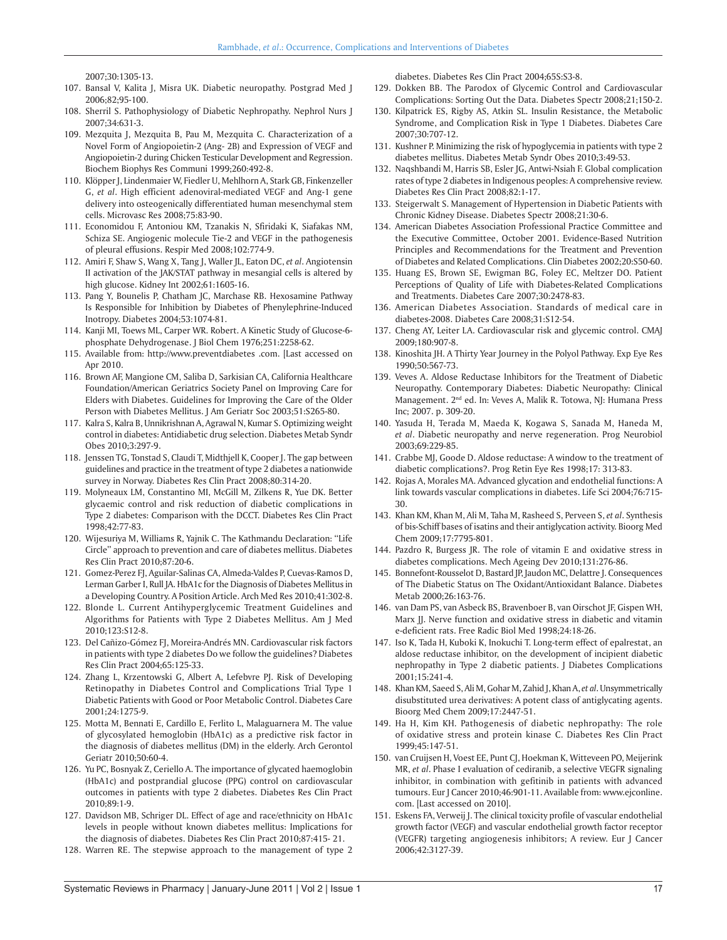2007;30:1305-13.

- 107. Bansal V, Kalita J, Misra UK. Diabetic neuropathy. Postgrad Med J 2006;82;95-100.
- 108. Sherril S. Pathophysiology of Diabetic Nephropathy. Nephrol Nurs J 2007;34:631-3.
- 109. Mezquita J, Mezquita B, Pau M, Mezquita C. Characterization of a Novel Form of Angiopoietin-2 (Ang- 2B) and Expression of VEGF and Angiopoietin-2 during Chicken Testicular Development and Regression. Biochem Biophys Res Communi 1999;260:492-8.
- 110. Klöpper J, Lindenmaier W, Fiedler U, Mehlhorn A, Stark GB, Finkenzeller G, *et al*. High efficient adenoviral-mediated VEGF and Ang-1 gene delivery into osteogenically differentiated human mesenchymal stem cells. Microvasc Res 2008;75:83-90.
- 111. Economidou F, Antoniou KM, Tzanakis N, Sfiridaki K, Siafakas NM, Schiza SE. Angiogenic molecule Tie-2 and VEGF in the pathogenesis of pleural effusions. Respir Med 2008;102:774-9.
- 112. Amiri F, Shaw S, Wang X, Tang J, Waller JL, Eaton DC, *et al*. Angiotensin II activation of the JAK/STAT pathway in mesangial cells is altered by high glucose. Kidney Int 2002;61:1605-16.
- 113. Pang Y, Bounelis P, Chatham JC, Marchase RB. Hexosamine Pathway Is Responsible for Inhibition by Diabetes of Phenylephrine-Induced Inotropy. Diabetes 2004;53:1074-81.
- 114. Kanji MI, Toews ML, Carper WR. Robert. A Kinetic Study of Glucose-6 phosphate Dehydrogenase. J Biol Chem 1976;251:2258-62.
- 115. Available from: http://www.preventdiabetes .com. [Last accessed on Apr 2010.
- 116. Brown AF, Mangione CM, Saliba D, Sarkisian CA, California Healthcare Foundation/American Geriatrics Society Panel on Improving Care for Elders with Diabetes. Guidelines for Improving the Care of the Older Person with Diabetes Mellitus. J Am Geriatr Soc 2003;51:S265-80.
- 117. Kalra S, Kalra B, Unnikrishnan A, Agrawal N, Kumar S. Optimizing weight control in diabetes: Antidiabetic drug selection. Diabetes Metab Syndr Obes 2010;3:297-9.
- 118. Jenssen TG, Tonstad S, Claudi T, Midthjell K, Cooper J. The gap between guidelines and practice in the treatment of type 2 diabetes a nationwide survey in Norway. Diabetes Res Clin Pract 2008;80:314-20.
- 119. Molyneaux LM, Constantino MI, McGill M, Zilkens R, Yue DK. Better glycaemic control and risk reduction of diabetic complications in Type 2 diabetes: Comparison with the DCCT. Diabetes Res Clin Pract 1998;42:77-83.
- 120. Wijesuriya M, Williams R, Yajnik C. The Kathmandu Declaration: ''Life Circle'' approach to prevention and care of diabetes mellitus. Diabetes Res Clin Pract 2010;87:20-6.
- 121. Gomez-Perez FJ, Aguilar-Salinas CA, Almeda-Valdes P, Cuevas-Ramos D, Lerman Garber I, Rull JA. HbA1c for the Diagnosis of Diabetes Mellitus in a Developing Country. A Position Article. Arch Med Res 2010;41:302-8.
- 122. Blonde L. Current Antihyperglycemic Treatment Guidelines and Algorithms for Patients with Type 2 Diabetes Mellitus. Am J Med 2010;123:S12-8.
- 123. Del Cañizo-Gómez FJ, Moreira-Andrés MN. Cardiovascular risk factors in patients with type 2 diabetes Do we follow the guidelines? Diabetes Res Clin Pract 2004;65:125-33.
- 124. Zhang L, Krzentowski G, Albert A, Lefebvre PJ. Risk of Developing Retinopathy in Diabetes Control and Complications Trial Type 1 Diabetic Patients with Good or Poor Metabolic Control. Diabetes Care 2001;24:1275-9.
- 125. Motta M, Bennati E, Cardillo E, Ferlito L, Malaguarnera M. The value of glycosylated hemoglobin (HbA1c) as a predictive risk factor in the diagnosis of diabetes mellitus (DM) in the elderly. Arch Gerontol Geriatr 2010;50:60-4.
- 126. Yu PC, Bosnyak Z, Ceriello A. The importance of glycated haemoglobin (HbA1c) and postprandial glucose (PPG) control on cardiovascular outcomes in patients with type 2 diabetes. Diabetes Res Clin Pract 2010;89:1-9.
- 127. Davidson MB, Schriger DL. Effect of age and race/ethnicity on HbA1c levels in people without known diabetes mellitus: Implications for the diagnosis of diabetes. Diabetes Res Clin Pract 2010;87:415- 21.
- 128. Warren RE. The stepwise approach to the management of type 2

diabetes. Diabetes Res Clin Pract 2004;65S:S3-8.

129. Dokken BB. The Parodox of Glycemic Control and Cardiovascular Complications: Sorting Out the Data. Diabetes Spectr 2008;21;150-2.

- 130. Kilpatrick ES, Rigby AS, Atkin SL. Insulin Resistance, the Metabolic Syndrome, and Complication Risk in Type 1 Diabetes. Diabetes Care 2007;30:707-12.
- 131. Kushner P. Minimizing the risk of hypoglycemia in patients with type 2 diabetes mellitus. Diabetes Metab Syndr Obes 2010;3:49-53.
- 132. Naqshbandi M, Harris SB, Esler JG, Antwi-Nsiah F. Global complication rates of type 2 diabetes in Indigenous peoples: A comprehensive review. Diabetes Res Clin Pract 2008;82:1-17.
- 133. Steigerwalt S. Management of Hypertension in Diabetic Patients with Chronic Kidney Disease. Diabetes Spectr 2008;21:30-6.
- 134. American Diabetes Association Professional Practice Committee and the Executive Committee, October 2001. Evidence-Based Nutrition Principles and Recommendations for the Treatment and Prevention of Diabetes and Related Complications. Clin Diabetes 2002;20:S50-60.
- 135. Huang ES, Brown SE, Ewigman BG, Foley EC, Meltzer DO. Patient Perceptions of Quality of Life with Diabetes-Related Complications and Treatments. Diabetes Care 2007;30:2478-83.
- 136. American Diabetes Association. Standards of medical care in diabetes-2008. Diabetes Care 2008;31:S12-54.
- 137. Cheng AY, Leiter LA. Cardiovascular risk and glycemic control. CMAJ 2009;180:907-8.
- 138. Kinoshita JH. A Thirty Year Journey in the Polyol Pathway. Exp Eye Res 1990;50:567-73.
- 139. Veves A. Aldose Reductase Inhibitors for the Treatment of Diabetic Neuropathy. Contemporary Diabetes: Diabetic Neuropathy: Clinical Management. 2nd ed. In: Veves A, Malik R. Totowa, NJ: Humana Press Inc; 2007. p. 309-20.
- 140. Yasuda H, Terada M, Maeda K, Kogawa S, Sanada M, Haneda M, *et al*. Diabetic neuropathy and nerve regeneration. Prog Neurobiol 2003;69:229-85.
- 141. Crabbe MJ, Goode D. Aldose reductase: A window to the treatment of diabetic complications?. Prog Retin Eye Res 1998;17: 313-83.
- 142. Rojas A, Morales MA. Advanced glycation and endothelial functions: A link towards vascular complications in diabetes. Life Sci 2004;76:715- 30.
- 143. Khan KM, Khan M, Ali M, Taha M, Rasheed S, Perveen S, *et al*. Synthesis of bis-Schiff bases of isatins and their antiglycation activity. Bioorg Med Chem 2009;17:7795-801.
- 144. Pazdro R, Burgess JR. The role of vitamin E and oxidative stress in diabetes complications. Mech Ageing Dev 2010;131:276-86.
- 145. Bonnefont-Rousselot D, Bastard JP, Jaudon MC, Delattre J. Consequences of The Diabetic Status on The Oxidant/Antioxidant Balance. Diabetes Metab 2000;26:163-76.
- 146. van Dam PS, van Asbeck BS, Bravenboer B, van Oirschot JF, Gispen WH, Marx JJ. Nerve function and oxidative stress in diabetic and vitamin e-deficient rats. Free Radic Biol Med 1998;24:18-26.
- 147. Iso K, Tada H, Kuboki K, Inokuchi T. Long-term effect of epalrestat, an aldose reductase inhibitor, on the development of incipient diabetic nephropathy in Type 2 diabetic patients. J Diabetes Complications 2001;15:241-4*.*
- 148. Khan KM, Saeed S, Ali M, Gohar M, Zahid J, Khan A, *et al*. Unsymmetrically disubstituted urea derivatives: A potent class of antiglycating agents. Bioorg Med Chem 2009;17:2447-51.
- 149. Ha H, Kim KH. Pathogenesis of diabetic nephropathy: The role of oxidative stress and protein kinase C. Diabetes Res Clin Pract 1999;45:147-51.
- 150. van Cruijsen H, Voest EE, Punt CJ, Hoekman K, Witteveen PO, Meijerink MR, *et al*. Phase I evaluation of cediranib, a selective VEGFR signaling inhibitor, in combination with gefitinib in patients with advanced tumours. Eur J Cancer 2010;46:901-11. Available from: www.ejconline. com. [Last accessed on 2010].
- 151. Eskens FA, Verweij J. The clinical toxicity profile of vascular endothelial growth factor (VEGF) and vascular endothelial growth factor receptor (VEGFR) targeting angiogenesis inhibitors; A review. Eur J Cancer 2006;42:3127-39.